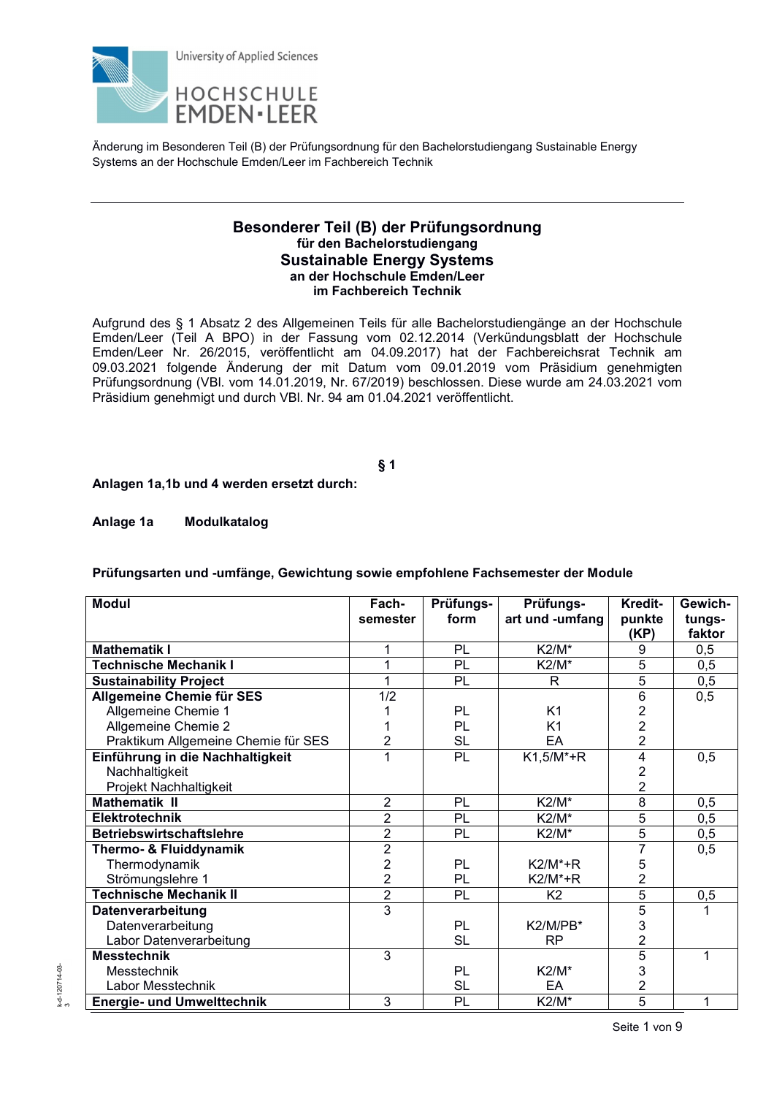

## **Besonderer Teil (B) der Prüfungsordnung für den Bachelorstudiengang Sustainable Energy Systems an der Hochschule Emden/Leer im Fachbereich Technik**

Aufgrund des § 1 Absatz 2 des Allgemeinen Teils für alle Bachelorstudiengänge an der Hochschule Emden/Leer (Teil A BPO) in der Fassung vom 02.12.2014 (Verkündungsblatt der Hochschule Emden/Leer Nr. 26/2015, veröffentlicht am 04.09.2017) hat der Fachbereichsrat Technik am 09.03.2021 folgende Änderung der mit Datum vom 09.01.2019 vom Präsidium genehmigten Prüfungsordnung (VBl. vom 14.01.2019, Nr. 67/2019) beschlossen. Diese wurde am 24.03.2021 vom Präsidium genehmigt und durch VBl. Nr. 94 am 01.04.2021 veröffentlicht.

# **§ 1**

**Anlagen 1a,1b und 4 werden ersetzt durch:** 

**Anlage 1a Modulkatalog** 

**Prüfungsarten und -umfänge, Gewichtung sowie empfohlene Fachsemester der Module** 

| <b>Modul</b>                        | Fach-          | Prüfungs- | Prüfungs-       | Kredit-        | Gewich- |
|-------------------------------------|----------------|-----------|-----------------|----------------|---------|
|                                     | semester       | form      | art und -umfang | punkte         | tungs-  |
|                                     |                |           |                 | (KP)           | faktor  |
| <b>Mathematik I</b>                 |                | PL        | <b>K2/M*</b>    | 9              | 0,5     |
| <b>Technische Mechanik I</b>        | 1              | PL        | K2/M*           | 5              | 0,5     |
| <b>Sustainability Project</b>       |                | PL        | R               | 5              | 0,5     |
| <b>Allgemeine Chemie für SES</b>    | 1/2            |           |                 | 6              | 0,5     |
| Allgemeine Chemie 1                 |                | PL        | K <sub>1</sub>  | $\frac{2}{2}$  |         |
| Allgemeine Chemie 2                 |                | PL        | K <sub>1</sub>  |                |         |
| Praktikum Allgemeine Chemie für SES | 2              | <b>SL</b> | EA              | $\overline{2}$ |         |
| Einführung in die Nachhaltigkeit    | 1              | <b>PL</b> | $K1,5/M^*+R$    | 4              | 0,5     |
| Nachhaltigkeit                      |                |           |                 | 2              |         |
| Projekt Nachhaltigkeit              |                |           |                 | $\overline{2}$ |         |
| <b>Mathematik II</b>                | $\overline{2}$ | PL        | K2/M*           | 8              | 0,5     |
| <b>Elektrotechnik</b>               | $\overline{2}$ | PL        | K2/M*           | $\overline{5}$ | 0,5     |
| <b>Betriebswirtschaftslehre</b>     | $\overline{2}$ | PL        | K2/M*           | 5              | 0,5     |
| Thermo- & Fluiddynamik              | $\overline{2}$ |           |                 | 7              | 0,5     |
| Thermodynamik                       | $\overline{2}$ | PL        | $K2/M^*+R$      | 5              |         |
| Strömungslehre 1                    | $\overline{2}$ | PL        | $K2/M^*+R$      | $\overline{2}$ |         |
| <b>Technische Mechanik II</b>       | $\overline{2}$ | PL        | K <sub>2</sub>  | 5              | 0,5     |
| Datenverarbeitung                   | $\overline{3}$ |           |                 | 5              |         |
| Datenverarbeitung                   |                | PL        | K2/M/PB*        | 3              |         |
| Labor Datenverarbeitung             |                | <b>SL</b> | <b>RP</b>       | $\overline{2}$ |         |
| <b>Messtechnik</b>                  | 3              |           |                 | 5              | 1       |
| Messtechnik                         |                | PL        | K2/M*           | 3              |         |
| Labor Messtechnik                   |                | <b>SL</b> | EA              | $\overline{2}$ |         |
| <b>Energie- und Umwelttechnik</b>   | 3              | PL        | K2/M*           | 5              | 1       |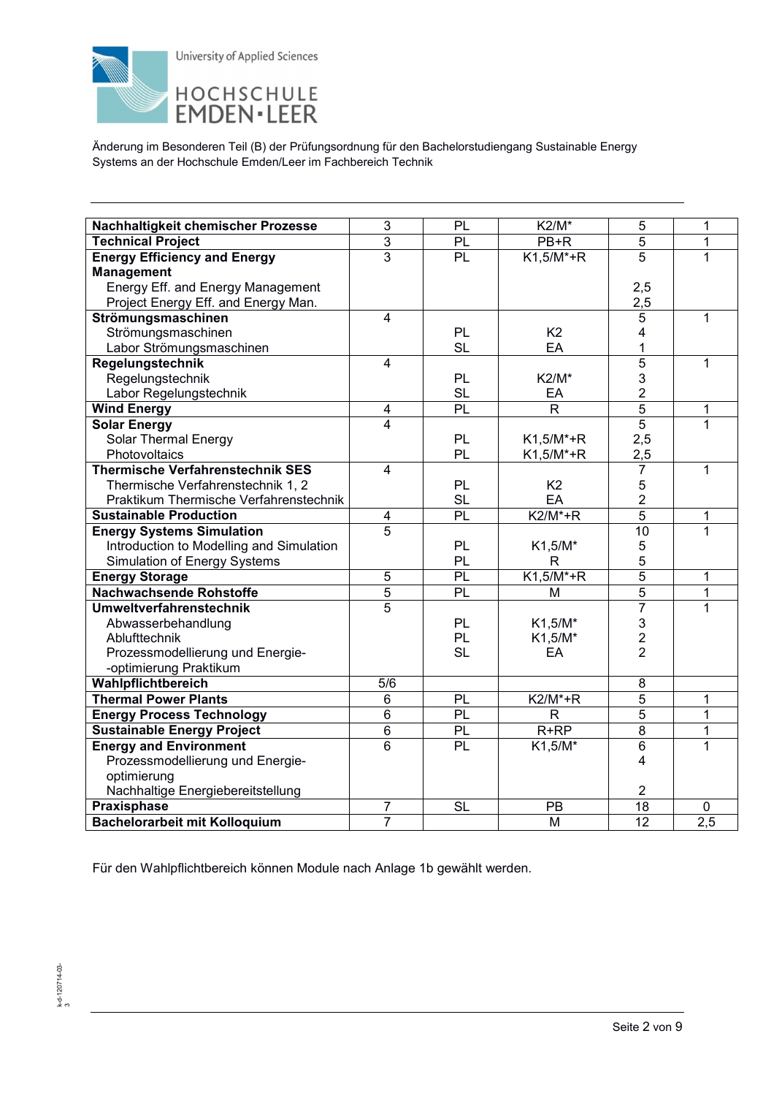

| Nachhaltigkeit chemischer Prozesse       | 3                       | <b>PL</b>              | $K2/M^*$       | 5                       | 1   |
|------------------------------------------|-------------------------|------------------------|----------------|-------------------------|-----|
| <b>Technical Project</b>                 | $\overline{3}$          | PL                     | PB+R           | $\overline{5}$          | 1   |
| <b>Energy Efficiency and Energy</b>      | $\overline{3}$          | $\overline{PL}$        | $K1,5/M^*+R$   | $\overline{5}$          | 1   |
| <b>Management</b>                        |                         |                        |                |                         |     |
| Energy Eff. and Energy Management        |                         |                        |                | 2,5                     |     |
| Project Energy Eff. and Energy Man.      |                         |                        |                | 2,5                     |     |
| Strömungsmaschinen                       | 4                       |                        |                | 5                       | 1   |
| Strömungsmaschinen                       |                         | <b>PL</b>              | K <sub>2</sub> | 4                       |     |
| Labor Strömungsmaschinen                 |                         | <b>SL</b>              | EA             | 1                       |     |
| Regelungstechnik                         | $\overline{\mathbf{4}}$ |                        |                | $\overline{5}$          | 1   |
| Regelungstechnik                         |                         | PL                     | K2/M*          | 3                       |     |
| Labor Regelungstechnik                   |                         | <b>SL</b>              | EA             | $\overline{2}$          |     |
| <b>Wind Energy</b>                       | 4                       | $\overline{PL}$        | $\mathsf{R}$   | $\overline{5}$          | 1   |
| <b>Solar Energy</b>                      | 4                       |                        |                | $\overline{5}$          | 1   |
| Solar Thermal Energy                     |                         | <b>PL</b>              | $K1,5/M^*+R$   | 2,5                     |     |
| Photovoltaics                            |                         | <b>PL</b>              | $K1,5/M^*+R$   | 2,5                     |     |
| <b>Thermische Verfahrenstechnik SES</b>  | 4                       |                        |                | $\overline{7}$          | 1   |
| Thermische Verfahrenstechnik 1, 2        |                         | PL                     | K <sub>2</sub> | 5                       |     |
| Praktikum Thermische Verfahrenstechnik   |                         | <b>SL</b>              | EA             | $\overline{2}$          |     |
| <b>Sustainable Production</b>            | 4                       | $\overline{PL}$        | $K2/M^*+R$     | $\overline{5}$          | 1   |
| <b>Energy Systems Simulation</b>         | $\overline{5}$          |                        |                | $\overline{10}$         | 1   |
| Introduction to Modelling and Simulation |                         | PL                     | $K1,5/M^*$     | 5                       |     |
| <b>Simulation of Energy Systems</b>      |                         | <b>PL</b>              | R              | 5                       |     |
| <b>Energy Storage</b>                    | 5                       | PL                     | $K1,5/M^*+R$   | $\overline{5}$          | 1   |
| <b>Nachwachsende Rohstoffe</b>           | 5                       | PL                     | M              | $\overline{5}$          | 1   |
| <b>Umweltverfahrenstechnik</b>           | 5                       |                        |                | $\overline{7}$          | 1   |
| Abwasserbehandlung                       |                         | <b>PL</b>              | $K1,5/M^*$     | $\mathsf 3$             |     |
| Ablufttechnik                            |                         | <b>PL</b>              | K1,5/M*        | $\overline{c}$          |     |
| Prozessmodellierung und Energie-         |                         | <b>SL</b>              | EA             | $\overline{2}$          |     |
| -optimierung Praktikum                   |                         |                        |                |                         |     |
| Wahlpflichtbereich                       | 5/6                     |                        |                | 8                       |     |
| <b>Thermal Power Plants</b>              | 6                       | <b>PL</b>              | $K2/M^*+R$     | 5                       | 1   |
| <b>Energy Process Technology</b>         | $\overline{6}$          | $\overline{PL}$        | R              | 5                       | 1   |
| <b>Sustainable Energy Project</b>        | $\overline{6}$          | $\overline{PL}$        | $R+RP$         | $\overline{8}$          | 1   |
| <b>Energy and Environment</b>            | 6                       | $\overline{PL}$        | $K1,5/M^*$     | $\overline{6}$          | 1   |
| Prozessmodellierung und Energie-         |                         |                        |                | 4                       |     |
| optimierung                              |                         |                        |                |                         |     |
| Nachhaltige Energiebereitstellung        |                         |                        |                | $\overline{\mathbf{c}}$ |     |
| Praxisphase                              | $\overline{7}$          | $\overline{\text{SL}}$ | PB             | $\overline{18}$         | 0   |
| <b>Bachelorarbeit mit Kolloquium</b>     | $\overline{7}$          |                        | M              | $\overline{12}$         | 2,5 |

Für den Wahlpflichtbereich können Module nach Anlage 1b gewählt werden.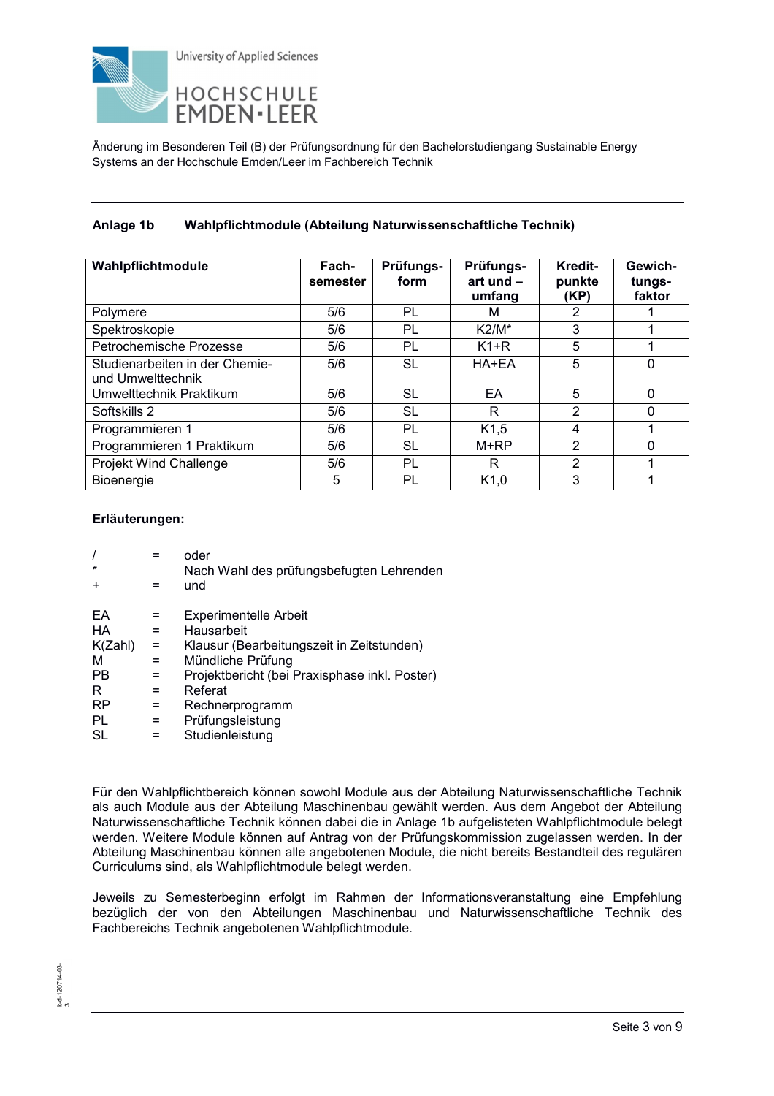

# **Anlage 1b Wahlpflichtmodule (Abteilung Naturwissenschaftliche Technik)**

| Wahlpflichtmodule                                   | Fach-<br>semester | Prüfungs-<br>form | Prüfungs-<br>art und $-$<br>umfang | Kredit-<br>punkte<br>(KP) | Gewich-<br>tungs-<br>faktor |
|-----------------------------------------------------|-------------------|-------------------|------------------------------------|---------------------------|-----------------------------|
| Polymere                                            | 5/6               | PL                | М                                  | 2                         |                             |
| Spektroskopie                                       | 5/6               | PL                | $K2/M^*$                           | 3                         |                             |
| Petrochemische Prozesse                             | 5/6               | PL                | $K1+R$                             | 5                         |                             |
| Studienarbeiten in der Chemie-<br>und Umwelttechnik | 5/6               | SL                | HA+EA                              | 5                         | $\Omega$                    |
| Umwelttechnik Praktikum                             | 5/6               | SL                | EA                                 | 5                         | $\Omega$                    |
| Softskills 2                                        | 5/6               | SL                | R                                  | 2                         | $\Omega$                    |
| Programmieren 1                                     | 5/6               | PL                | K1,5                               | 4                         |                             |
| Programmieren 1 Praktikum                           | 5/6               | SL                | $M+RP$                             | 2                         | $\Omega$                    |
| Projekt Wind Challenge                              | 5/6               | PL                | R                                  | $\overline{2}$            |                             |
| Bioenergie                                          | 5                 | PL                | K1,0                               | 3                         |                             |

### **Erläuterungen:**

| $\prime$                                                                                                              | oder                                                                                                                                                                                                                               |
|-----------------------------------------------------------------------------------------------------------------------|------------------------------------------------------------------------------------------------------------------------------------------------------------------------------------------------------------------------------------|
| $\star$                                                                                                               | Nach Wahl des prüfungsbefugten Lehrenden                                                                                                                                                                                           |
| $\ddot{}$                                                                                                             | und                                                                                                                                                                                                                                |
| FΑ<br>HA<br>=<br>K(Zahl)<br>$=$<br>м<br>$=$<br><b>PB</b><br>$=$<br>R<br>$=$<br><b>RP</b><br>=<br>PL<br>$=$<br>SL<br>= | <b>Experimentelle Arbeit</b><br>Hausarbeit<br>Klausur (Bearbeitungszeit in Zeitstunden)<br>Mündliche Prüfung<br>Projektbericht (bei Praxisphase inkl. Poster)<br>Referat<br>Rechnerprogramm<br>Prüfungsleistung<br>Studienleistung |

Für den Wahlpflichtbereich können sowohl Module aus der Abteilung Naturwissenschaftliche Technik als auch Module aus der Abteilung Maschinenbau gewählt werden. Aus dem Angebot der Abteilung Naturwissenschaftliche Technik können dabei die in Anlage 1b aufgelisteten Wahlpflichtmodule belegt werden. Weitere Module können auf Antrag von der Prüfungskommission zugelassen werden. In der Abteilung Maschinenbau können alle angebotenen Module, die nicht bereits Bestandteil des regulären Curriculums sind, als Wahlpflichtmodule belegt werden.

Jeweils zu Semesterbeginn erfolgt im Rahmen der Informationsveranstaltung eine Empfehlung bezüglich der von den Abteilungen Maschinenbau und Naturwissenschaftliche Technik des Fachbereichs Technik angebotenen Wahlpflichtmodule.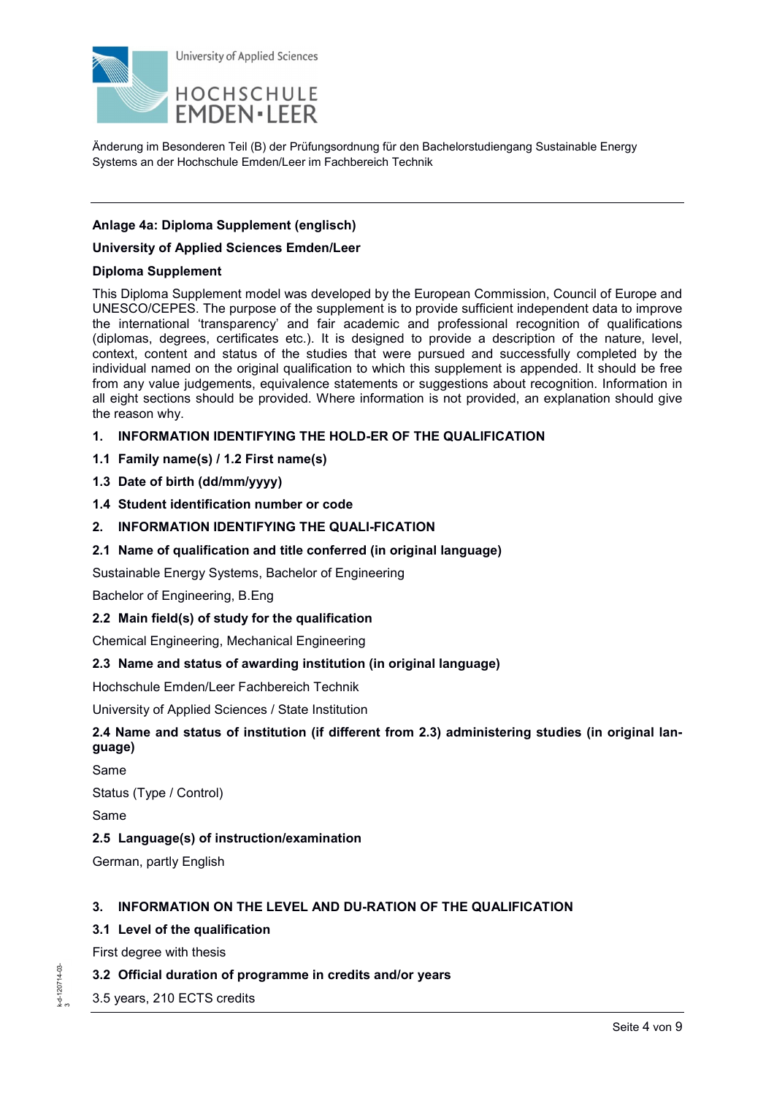

## **Anlage 4a: Diploma Supplement (englisch)**

### **University of Applied Sciences Emden/Leer**

### **Diploma Supplement**

This Diploma Supplement model was developed by the European Commission, Council of Europe and UNESCO/CEPES. The purpose of the supplement is to provide sufficient independent data to improve the international 'transparency' and fair academic and professional recognition of qualifications (diplomas, degrees, certificates etc.). It is designed to provide a description of the nature, level, context, content and status of the studies that were pursued and successfully completed by the individual named on the original qualification to which this supplement is appended. It should be free from any value judgements, equivalence statements or suggestions about recognition. Information in all eight sections should be provided. Where information is not provided, an explanation should give the reason why.

- **1. INFORMATION IDENTIFYING THE HOLD-ER OF THE QUALIFICATION**
- **1.1 Family name(s) / 1.2 First name(s)**
- **1.3 Date of birth (dd/mm/yyyy)**
- **1.4 Student identification number or code**
- **2. INFORMATION IDENTIFYING THE QUALI-FICATION**
- **2.1 Name of qualification and title conferred (in original language)**

Sustainable Energy Systems, Bachelor of Engineering

Bachelor of Engineering, B.Eng

**2.2 Main field(s) of study for the qualification** 

Chemical Engineering, Mechanical Engineering

## **2.3 Name and status of awarding institution (in original language)**

Hochschule Emden/Leer Fachbereich Technik

University of Applied Sciences / State Institution

# **2.4 Name and status of institution (if different from 2.3) administering studies (in original language)**

Same

Status (Type / Control)

Same

## **2.5 Language(s) of instruction/examination**

German, partly English

## **3. INFORMATION ON THE LEVEL AND DU-RATION OF THE QUALIFICATION**

## **3.1 Level of the qualification**

First degree with thesis

## **3.2 Official duration of programme in credits and/or years**

3.5 years, 210 ECTS credits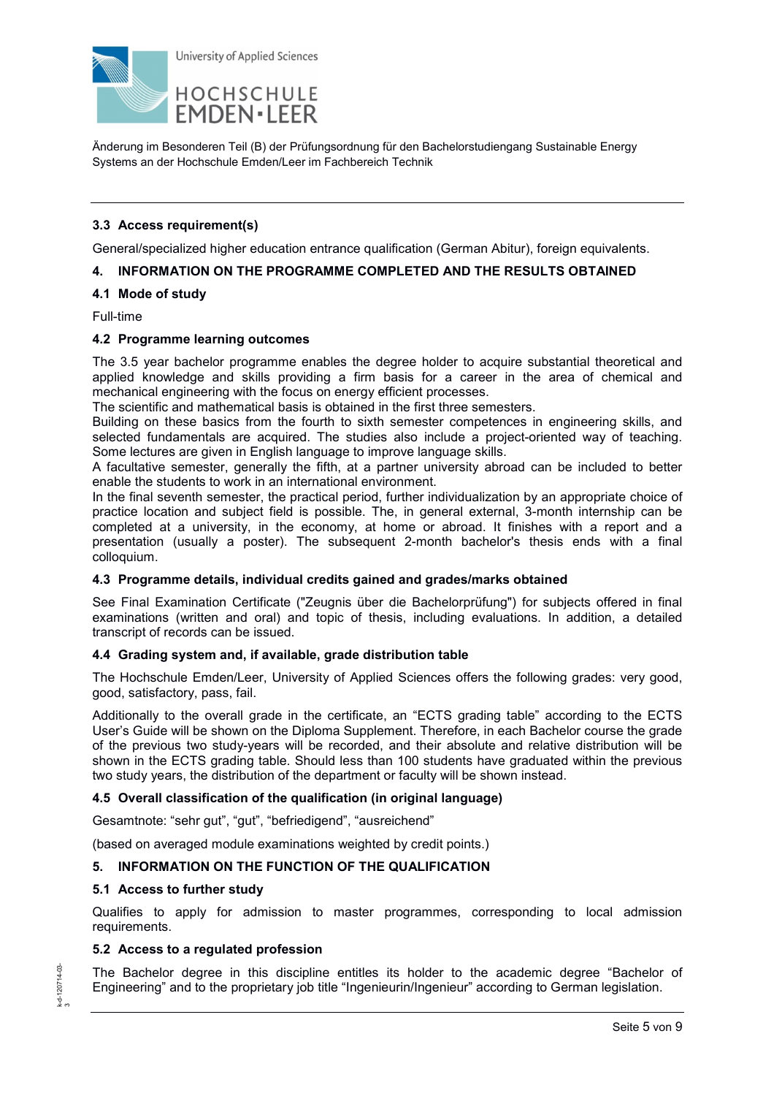

## **3.3 Access requirement(s)**

General/specialized higher education entrance qualification (German Abitur), foreign equivalents.

### **4. INFORMATION ON THE PROGRAMME COMPLETED AND THE RESULTS OBTAINED**

## **4.1 Mode of study**

Full-time

### **4.2 Programme learning outcomes**

The 3.5 year bachelor programme enables the degree holder to acquire substantial theoretical and applied knowledge and skills providing a firm basis for a career in the area of chemical and mechanical engineering with the focus on energy efficient processes.

The scientific and mathematical basis is obtained in the first three semesters.

Building on these basics from the fourth to sixth semester competences in engineering skills, and selected fundamentals are acquired. The studies also include a project-oriented way of teaching. Some lectures are given in English language to improve language skills.

A facultative semester, generally the fifth, at a partner university abroad can be included to better enable the students to work in an international environment.

In the final seventh semester, the practical period, further individualization by an appropriate choice of practice location and subject field is possible. The, in general external, 3-month internship can be completed at a university, in the economy, at home or abroad. It finishes with a report and a presentation (usually a poster). The subsequent 2-month bachelor's thesis ends with a final colloquium.

## **4.3 Programme details, individual credits gained and grades/marks obtained**

See Final Examination Certificate ("Zeugnis über die Bachelorprüfung") for subjects offered in final examinations (written and oral) and topic of thesis, including evaluations. In addition, a detailed transcript of records can be issued.

### **4.4 Grading system and, if available, grade distribution table**

The Hochschule Emden/Leer, University of Applied Sciences offers the following grades: very good, good, satisfactory, pass, fail.

Additionally to the overall grade in the certificate, an "ECTS grading table" according to the ECTS User's Guide will be shown on the Diploma Supplement. Therefore, in each Bachelor course the grade of the previous two study-years will be recorded, and their absolute and relative distribution will be shown in the ECTS grading table. Should less than 100 students have graduated within the previous two study years, the distribution of the department or faculty will be shown instead.

### **4.5 Overall classification of the qualification (in original language)**

Gesamtnote: "sehr gut", "gut", "befriedigend", "ausreichend"

(based on averaged module examinations weighted by credit points.)

## **5. INFORMATION ON THE FUNCTION OF THE QUALIFICATION**

## **5.1 Access to further study**

Qualifies to apply for admission to master programmes, corresponding to local admission requirements.

## **5.2 Access to a regulated profession**

The Bachelor degree in this discipline entitles its holder to the academic degree "Bachelor of Engineering" and to the proprietary job title "Ingenieurin/Ingenieur" according to German legislation.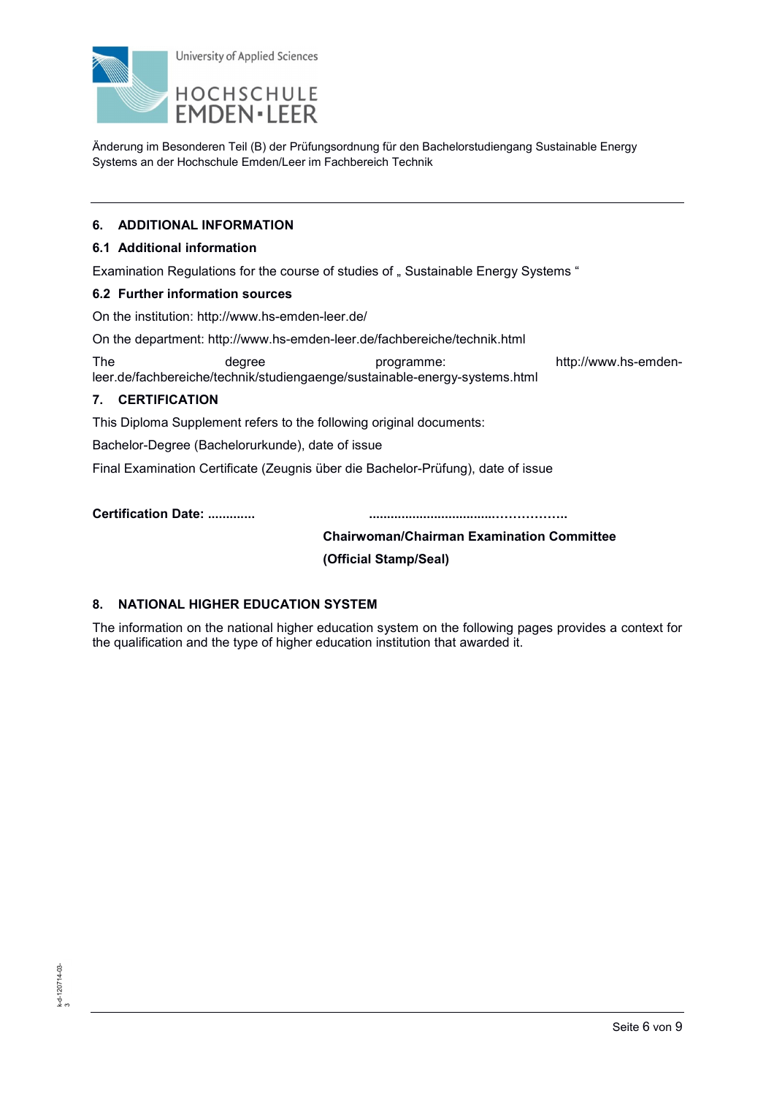

## **6. ADDITIONAL INFORMATION**

## **6.1 Additional information**

Examination Regulations for the course of studies of " Sustainable Energy Systems "

### **6.2 Further information sources**

On the institution: http://www.hs-emden-leer.de/

On the department: http://www.hs-emden-leer.de/fachbereiche/technik.html

The degree degree programme: http://www.hs-emdenleer.de/fachbereiche/technik/studiengaenge/sustainable-energy-systems.html

## **7. CERTIFICATION**

This Diploma Supplement refers to the following original documents:

Bachelor-Degree (Bachelorurkunde), date of issue

Final Examination Certificate (Zeugnis über die Bachelor-Prüfung), date of issue

**Certification Date: ............. ...................................GGGGG..** 

## **Chairwoman/Chairman Examination Committee**

 **(Official Stamp/Seal)** 

## **8. NATIONAL HIGHER EDUCATION SYSTEM**

The information on the national higher education system on the following pages provides a context for the qualification and the type of higher education institution that awarded it.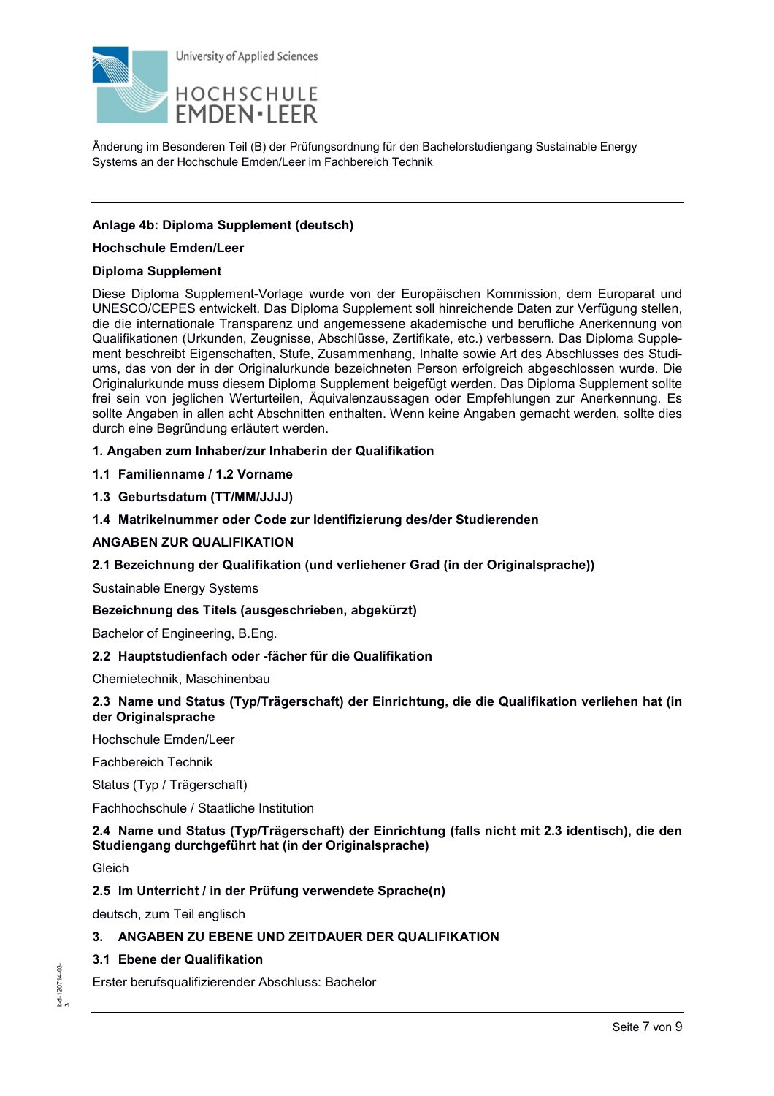

## **Anlage 4b: Diploma Supplement (deutsch)**

### **Hochschule Emden/Leer**

## **Diploma Supplement**

Diese Diploma Supplement-Vorlage wurde von der Europäischen Kommission, dem Europarat und UNESCO/CEPES entwickelt. Das Diploma Supplement soll hinreichende Daten zur Verfügung stellen, die die internationale Transparenz und angemessene akademische und berufliche Anerkennung von Qualifikationen (Urkunden, Zeugnisse, Abschlüsse, Zertifikate, etc.) verbessern. Das Diploma Supplement beschreibt Eigenschaften, Stufe, Zusammenhang, Inhalte sowie Art des Abschlusses des Studiums, das von der in der Originalurkunde bezeichneten Person erfolgreich abgeschlossen wurde. Die Originalurkunde muss diesem Diploma Supplement beigefügt werden. Das Diploma Supplement sollte frei sein von jeglichen Werturteilen, Äquivalenzaussagen oder Empfehlungen zur Anerkennung. Es sollte Angaben in allen acht Abschnitten enthalten. Wenn keine Angaben gemacht werden, sollte dies durch eine Begründung erläutert werden.

## **1. Angaben zum Inhaber/zur Inhaberin der Qualifikation**

**1.1 Familienname / 1.2 Vorname** 

## **1.3 Geburtsdatum (TT/MM/JJJJ)**

## **1.4 Matrikelnummer oder Code zur Identifizierung des/der Studierenden**

### **ANGABEN ZUR QUALIFIKATION**

## **2.1 Bezeichnung der Qualifikation (und verliehener Grad (in der Originalsprache))**

Sustainable Energy Systems

### **Bezeichnung des Titels (ausgeschrieben, abgekürzt)**

Bachelor of Engineering, B.Eng.

### **2.2 Hauptstudienfach oder -fächer für die Qualifikation**

Chemietechnik, Maschinenbau

## **2.3 Name und Status (Typ/Trägerschaft) der Einrichtung, die die Qualifikation verliehen hat (in der Originalsprache**

Hochschule Emden/Leer

Fachbereich Technik

Status (Typ / Trägerschaft)

Fachhochschule / Staatliche Institution

## **2.4 Name und Status (Typ/Trägerschaft) der Einrichtung (falls nicht mit 2.3 identisch), die den Studiengang durchgeführt hat (in der Originalsprache)**

Gleich

### **2.5 Im Unterricht / in der Prüfung verwendete Sprache(n)**

deutsch, zum Teil englisch

### **3. ANGABEN ZU EBENE UND ZEITDAUER DER QUALIFIKATION**

## **3.1 Ebene der Qualifikation**

Erster berufsqualifizierender Abschluss: Bachelor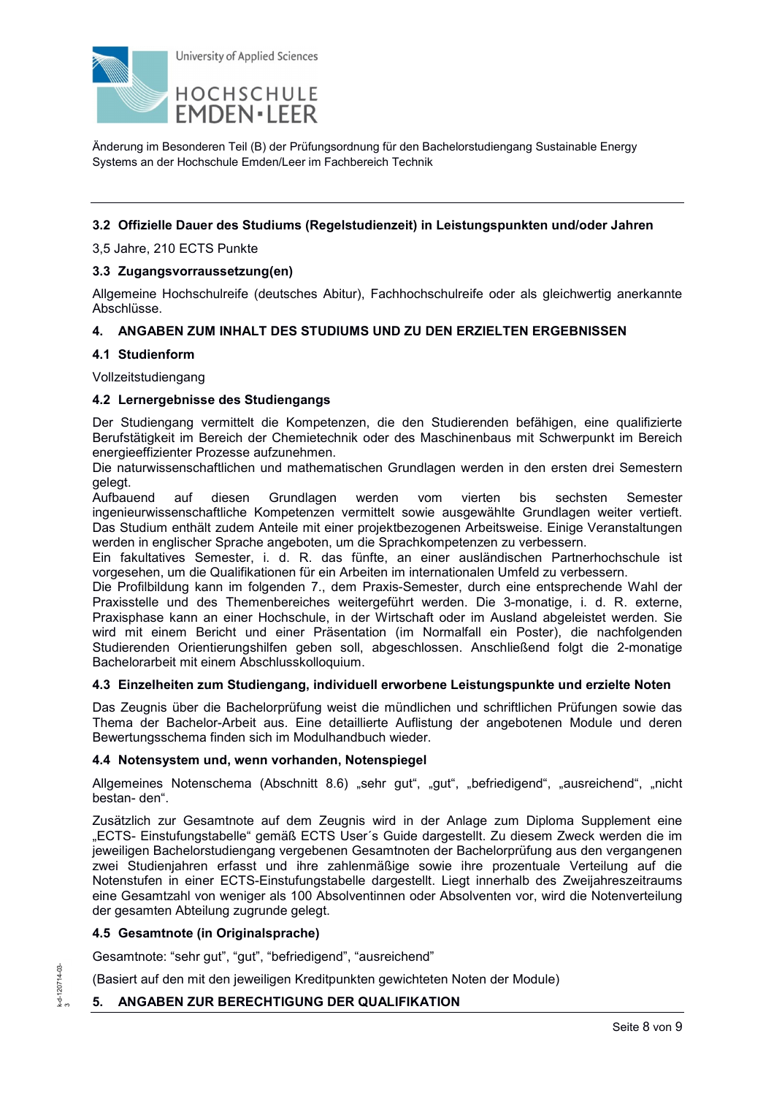

### **3.2 Offizielle Dauer des Studiums (Regelstudienzeit) in Leistungspunkten und/oder Jahren**

3,5 Jahre, 210 ECTS Punkte

### **3.3 Zugangsvorraussetzung(en)**

Allgemeine Hochschulreife (deutsches Abitur), Fachhochschulreife oder als gleichwertig anerkannte Abschlüsse.

### **4. ANGABEN ZUM INHALT DES STUDIUMS UND ZU DEN ERZIELTEN ERGEBNISSEN**

#### **4.1 Studienform**

Vollzeitstudiengang

#### **4.2 Lernergebnisse des Studiengangs**

Der Studiengang vermittelt die Kompetenzen, die den Studierenden befähigen, eine qualifizierte Berufstätigkeit im Bereich der Chemietechnik oder des Maschinenbaus mit Schwerpunkt im Bereich energieeffizienter Prozesse aufzunehmen.

Die naturwissenschaftlichen und mathematischen Grundlagen werden in den ersten drei Semestern gelegt.<br>Aufbauend

auf diesen Grundlagen werden vom vierten bis sechsten Semester ingenieurwissenschaftliche Kompetenzen vermittelt sowie ausgewählte Grundlagen weiter vertieft. Das Studium enthält zudem Anteile mit einer projektbezogenen Arbeitsweise. Einige Veranstaltungen werden in englischer Sprache angeboten, um die Sprachkompetenzen zu verbessern.

Ein fakultatives Semester, i. d. R. das fünfte, an einer ausländischen Partnerhochschule ist vorgesehen, um die Qualifikationen für ein Arbeiten im internationalen Umfeld zu verbessern.

Die Profilbildung kann im folgenden 7., dem Praxis-Semester, durch eine entsprechende Wahl der Praxisstelle und des Themenbereiches weitergeführt werden. Die 3-monatige, i. d. R. externe, Praxisphase kann an einer Hochschule, in der Wirtschaft oder im Ausland abgeleistet werden. Sie wird mit einem Bericht und einer Präsentation (im Normalfall ein Poster), die nachfolgenden Studierenden Orientierungshilfen geben soll, abgeschlossen. Anschließend folgt die 2-monatige Bachelorarbeit mit einem Abschlusskolloquium.

### **4.3 Einzelheiten zum Studiengang, individuell erworbene Leistungspunkte und erzielte Noten**

Das Zeugnis über die Bachelorprüfung weist die mündlichen und schriftlichen Prüfungen sowie das Thema der Bachelor-Arbeit aus. Eine detaillierte Auflistung der angebotenen Module und deren Bewertungsschema finden sich im Modulhandbuch wieder.

### **4.4 Notensystem und, wenn vorhanden, Notenspiegel**

Allgemeines Notenschema (Abschnitt 8.6) "sehr gut", "gut", "befriedigend", "ausreichend", "nicht bestan- den".

Zusätzlich zur Gesamtnote auf dem Zeugnis wird in der Anlage zum Diploma Supplement eine "ECTS- Einstufungstabelle" gemäß ECTS User´s Guide dargestellt. Zu diesem Zweck werden die im jeweiligen Bachelorstudiengang vergebenen Gesamtnoten der Bachelorprüfung aus den vergangenen zwei Studienjahren erfasst und ihre zahlenmäßige sowie ihre prozentuale Verteilung auf die Notenstufen in einer ECTS-Einstufungstabelle dargestellt. Liegt innerhalb des Zweijahreszeitraums eine Gesamtzahl von weniger als 100 Absolventinnen oder Absolventen vor, wird die Notenverteilung der gesamten Abteilung zugrunde gelegt.

### **4.5 Gesamtnote (in Originalsprache)**

Gesamtnote: "sehr gut", "gut", "befriedigend", "ausreichend"

(Basiert auf den mit den jeweiligen Kreditpunkten gewichteten Noten der Module)

### **5. ANGABEN ZUR BERECHTIGUNG DER QUALIFIKATION**